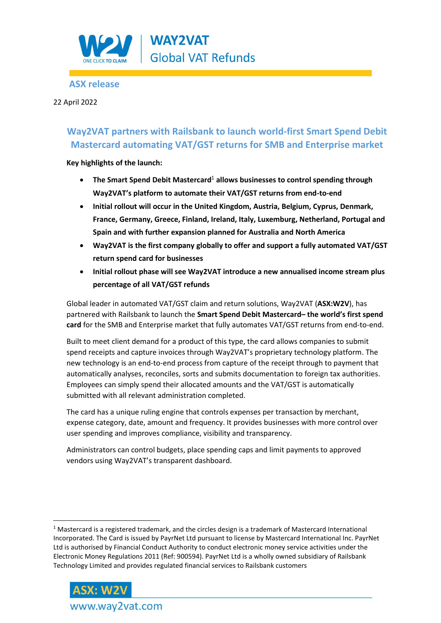

# **ASX release**

## 22 April 2022

# **Way2VAT partners with Railsbank to launch world-first Smart Spend Debit Mastercard automating VAT/GST returns for SMB and Enterprise market**

**Key highlights of the launch:** 

- **The Smart Spend Debit Mastercard**<sup>1</sup> **allows businesses to control spending through Way2VAT's platform to automate their VAT/GST returns from end-to-end**
- **Initial rollout will occur in the United Kingdom, Austria, Belgium, Cyprus, Denmark, France, Germany, Greece, Finland, Ireland, Italy, Luxemburg, Netherland, Portugal and Spain and with further expansion planned for Australia and North America**
- **Way2VAT is the first company globally to offer and support a fully automated VAT/GST return spend card for businesses**
- **Initial rollout phase will see Way2VAT introduce a new annualised income stream plus percentage of all VAT/GST refunds**

Global leader in automated VAT/GST claim and return solutions, Way2VAT (**ASX:W2V**), has partnered with Railsbank to launch the **Smart Spend Debit Mastercard– the world's first spend card** for the SMB and Enterprise market that fully automates VAT/GST returns from end-to-end.

Built to meet client demand for a product of this type, the card allows companies to submit spend receipts and capture invoices through Way2VAT's proprietary technology platform. The new technology is an end-to-end process from capture of the receipt through to payment that automatically analyses, reconciles, sorts and submits documentation to foreign tax authorities. Employees can simply spend their allocated amounts and the VAT/GST is automatically submitted with all relevant administration completed.

The card has a unique ruling engine that controls expenses per transaction by merchant, expense category, date, amount and frequency. It provides businesses with more control over user spending and improves compliance, visibility and transparency.

Administrators can control budgets, place spending caps and limit payments to approved vendors using Way2VAT's transparent dashboard.

 $1$  Mastercard is a registered trademark, and the circles design is a trademark of Mastercard International Incorporated. The Card is issued by PayrNet Ltd pursuant to license by Mastercard International Inc. PayrNet Ltd is authorised by Financial Conduct Authority to conduct electronic money service activities under the Electronic Money Regulations 2011 (Ref: 900594). PayrNet Ltd is a wholly owned subsidiary of Railsbank Technology Limited and provides regulated financial services to Railsbank customers

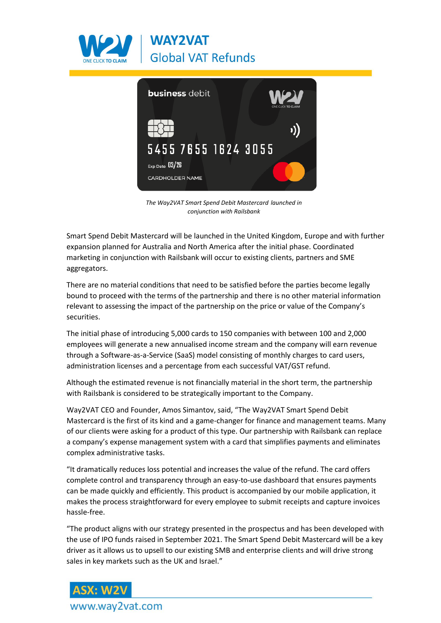



*The Way2VAT Smart Spend Debit Mastercard launched in conjunction with Railsbank* 

Smart Spend Debit Mastercard will be launched in the United Kingdom, Europe and with further expansion planned for Australia and North America after the initial phase. Coordinated marketing in conjunction with Railsbank will occur to existing clients, partners and SME aggregators.

There are no material conditions that need to be satisfied before the parties become legally bound to proceed with the terms of the partnership and there is no other material information relevant to assessing the impact of the partnership on the price or value of the Company's securities.

The initial phase of introducing 5,000 cards to 150 companies with between 100 and 2,000 employees will generate a new annualised income stream and the company will earn revenue through a Software-as-a-Service (SaaS) model consisting of monthly charges to card users, administration licenses and a percentage from each successful VAT/GST refund.

Although the estimated revenue is not financially material in the short term, the partnership with Railsbank is considered to be strategically important to the Company.

Way2VAT CEO and Founder, Amos Simantov, said, "The Way2VAT Smart Spend Debit Mastercard is the first of its kind and a game-changer for finance and management teams. Many of our clients were asking for a product of this type. Our partnership with Railsbank can replace a company's expense management system with a card that simplifies payments and eliminates complex administrative tasks.

"It dramatically reduces loss potential and increases the value of the refund. The card offers complete control and transparency through an easy-to-use dashboard that ensures payments can be made quickly and efficiently. This product is accompanied by our mobile application, it makes the process straightforward for every employee to submit receipts and capture invoices hassle-free.

"The product aligns with our strategy presented in the prospectus and has been developed with the use of IPO funds raised in September 2021. The Smart Spend Debit Mastercard will be a key driver as it allows us to upsell to our existing SMB and enterprise clients and will drive strong sales in key markets such as the UK and Israel."